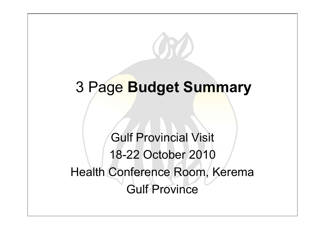## 3 Page **Budget Summary**

Gulf Provincial Visit 18-22 October 2010Health Conference Room, Kerema Gulf Province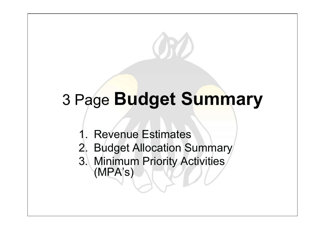# 3 Page **Budget Summary**

- 1. Revenue Estimates
- 2. Budget Allocation Summary
- 3. Minimum Priority Activities (MPA's)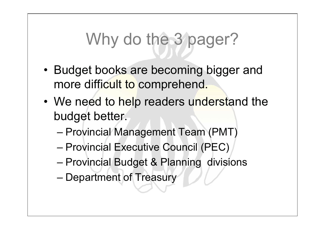# Why do the 3 pager?

- Budget books are becoming bigger and more difficult to comprehend.
- We need to help readers understand the budget better.
	- –Provincial Management Team (PMT)
	- –Provincial Executive Council (PEC)
	- –Provincial Budget & Planning divisions
	- –Department of Treasury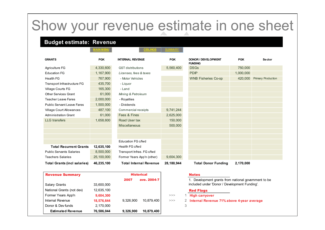### Show your revenue estimate in one sheet

### **Budget estimate: Revenue**

Internal Revenue

**MAIN MENU**

#### **CEILINGS**

| <b>GRANTS</b>                       | <b>PGK</b> | <b>INTERNAL REVENUE</b>       | <b>PGK</b> | DONOR / DEVELOPMENT<br><b>FUNDING</b>                | <b>PGK</b> | <b>Sector</b>             |  |  |
|-------------------------------------|------------|-------------------------------|------------|------------------------------------------------------|------------|---------------------------|--|--|
| Agriculture FG                      | 4,330,600  | <b>GST</b> distributions      | 5,560,400  | <b>DSGs</b>                                          | 750,000    |                           |  |  |
| <b>Education FG</b>                 | 1,167,900  | Licenses, fees & taxes        |            | <b>PDIP</b>                                          | 1,000,000  |                           |  |  |
| <b>Health FG</b>                    | 767,900    | - Motor Vehicles              |            | <b>WNB Fisheries Co-op</b>                           | 420,000    | <b>Primary Production</b> |  |  |
| Transport Infrastructure FG         | 435,700    | - Liquor                      |            |                                                      |            |                           |  |  |
| Village Courts FG                   | 165,300    | - Land                        |            |                                                      |            |                           |  |  |
| <b>Other Services Grant</b>         | 61,000     | Mining & Petroleum            |            |                                                      |            |                           |  |  |
| <b>Teacher Leave Fares</b>          | 2,000,000  | - Royalties                   |            |                                                      |            |                           |  |  |
| <b>Public Servant Leave Fares</b>   | 1,500,000  | - Dividends                   |            |                                                      |            |                           |  |  |
| <b>Village Court Allowances</b>     | 487,100    | Commercial receipts           | 9,741,244  |                                                      |            |                           |  |  |
| <b>Administration Grant</b>         | 61,000     | Fees & Fines                  | 2,625,000  |                                                      |            |                           |  |  |
| <b>LLG</b> transfers                | 1,658,600  | Road User tax                 | 150,000    |                                                      |            |                           |  |  |
|                                     |            | <b>Miscellaneous</b>          | 500,000    |                                                      |            |                           |  |  |
|                                     |            |                               |            |                                                      |            |                           |  |  |
|                                     |            |                               |            |                                                      |            |                           |  |  |
|                                     |            | Education FG c/fwd            |            |                                                      |            |                           |  |  |
| <b>Total Recurrent Grants</b>       | 12,635,100 | Health FG c/fwd               |            |                                                      |            |                           |  |  |
| <b>Public Servants Salaries</b>     | 8,500,000  | Transport Infras. FG c/fwd    |            |                                                      |            |                           |  |  |
| <b>Teachers Salaries</b>            | 25,100,000 | Former Years App'n (other)    | 9,604,300  |                                                      |            |                           |  |  |
| <b>Total Grants (incl salaries)</b> | 46,235,100 | <b>Total Internal Revenue</b> | 28,180,944 | <b>Total Donor Funding</b>                           | 2,170,000  |                           |  |  |
| <b>Revenue Summary</b>              |            | <b>Historical</b>             |            | <b>Notes</b>                                         |            |                           |  |  |
|                                     |            | 2007<br>ave. 2004-7           |            | 1. Development grants from national government to be |            |                           |  |  |
| Salary Grants                       | 33,600,000 |                               |            | included under 'Donor / Development Funding'.        |            |                           |  |  |
| National Grants (not dev)           | 12,635,100 |                               |            | <b>Red Flags</b>                                     |            |                           |  |  |
| Former Years App'n                  | 9,604,300  |                               | >>         | <b>High carryover</b>                                |            |                           |  |  |

**18,576,644** 9,326,900 10,879,400 >>>

 **Estimated Revenue 76,586,044 9,326,900 10,879,400**

- **1** High carryover
- **Internal Revenue 71% above 4-year average**

#### **Donor & Dev funds** 2,170,000 3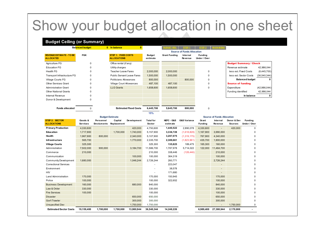### Show your budget allocation in one sheet

#### **Budget Ceiling (or Summary)**

|                                                     | <b>Balanced budget</b> | 0 In balance                              |                    | <b>SUDGET REV</b>                 | STEP <sub>1</sub>          | STEP <sub>2</sub>              |  |                               |              |
|-----------------------------------------------------|------------------------|-------------------------------------------|--------------------|-----------------------------------|----------------------------|--------------------------------|--|-------------------------------|--------------|
|                                                     |                        |                                           |                    | <b>Source of Funds Allocation</b> |                            |                                |  |                               |              |
| <b>REVENUE ESTIMATE - TO BE</b><br><b>ALLOCATED</b> | <b>PGK</b>             | STEP 1: FIXED COSTS<br><b>ALLOCATIONS</b> | Budget<br>estimate | <b>Grant Funding</b>              | Internal<br><b>Revenue</b> | <b>Funding</b><br>Under / Over |  |                               |              |
| Agriculture FG                                      | 0                      | Office rental (if any)                    |                    |                                   |                            |                                |  | <b>Budget Summary / Check</b> |              |
| <b>Education FG</b>                                 | 0                      | Utility charges                           |                    |                                   |                            |                                |  | Revenue estimate              | 42,986,044   |
| Health FG                                           | 0                      | Teacher Leave Fares                       | 2,000,000          | 2,000,000                         |                            | 0                              |  | less est. Fixed Costs         | (6,445,700)  |
| Transport Infrastructure FG                         | 0                      | <b>Public Servant Leave Fares</b>         | 1,500,000          | 1,500,000                         |                            | $\Omega$                       |  | less est. Sector Costs        | (36,540,344) |
| Village Courts FG                                   | $\Omega$               | Politicians Allowances                    | 800,000            |                                   | 800,000                    | $\Omega$                       |  | <b>Balanced budget</b>        |              |
| <b>Other Services Grant</b>                         | 0                      | Village Court Allowances                  | 487,100            | 487,100                           |                            | 0                              |  | <b>Source of funding</b>      |              |
| <b>Administration Grant</b>                         | $\Omega$               | <b>LLG Grants</b>                         | 1,658,600          | 1,658,600                         |                            | $\Omega$                       |  | Expenditure                   | (42,986,044) |
| <b>Other National Grants</b>                        | 0                      |                                           |                    |                                   |                            |                                |  | Funding identified            | 42,986,044   |
| Internal Revenue                                    | 0                      |                                           |                    |                                   |                            |                                |  | In balance                    |              |
| Donor & Development                                 | 0                      |                                           |                    |                                   |                            |                                |  |                               |              |
|                                                     |                        |                                           |                    |                                   |                            |                                |  |                               |              |
| <b>Funds allocated</b>                              | $\Omega$               | <b>Estimated Fixed Costs</b>              | 6,445,700          | 5,645,700                         | 800,000                    | 0                              |  |                               |              |

**15%**

|                                      | <b>Budget Estimate</b>     |                                |                        |             |                            |                        | <b>Source of Funds Allocation</b> |                         |                            |                               |                         |  |  |
|--------------------------------------|----------------------------|--------------------------------|------------------------|-------------|----------------------------|------------------------|-----------------------------------|-------------------------|----------------------------|-------------------------------|-------------------------|--|--|
| STEP 2: SECTOR<br><b>ALLOCATIONS</b> | Goods &<br><b>Services</b> | Personnel<br><b>Emoluments</b> | Capital<br>Replacement | Development | <b>Total for</b><br>Sector | NEFC - G&S<br>estimate | <b>G&amp;S Variance</b>           | Grant<br><b>Funding</b> | Internal<br><b>Revenue</b> | Donor & Dev<br><b>Sources</b> | Fundina<br>Under / Over |  |  |
| <b>Primary Production</b>            | 4,330,600                  |                                |                        | 420,000     | 4,750,600                  | 1,440,522              | 2,890,078                         | 4,330,600               | $\overline{\phantom{a}}$   | 420,000                       | $\Omega$                |  |  |
| Education                            | 1,717,900                  |                                | 1.700.000              | 1,740,000   | 5,157,900                  | 3,336,728              | (1,618,828)                       | 1,167,900               | 3,990,000                  |                               | 0                       |  |  |
| Health                               | 1.967.900                  | 800,000                        |                        | 2,340,000   | 5,107,900                  | 3,287,075              | (1,319,175)                       | 767,900                 | 4,340,000                  |                               | 0                       |  |  |
| Infrastructure                       | 565,700                    |                                |                        | 1,770,000   | 2,335,700                  | 2,389,661              | (1,823,961)                       | 435,700                 | 1,900,000                  |                               | 0                       |  |  |
| <b>Village Courts</b>                | 325,300                    |                                |                        |             | 325,300                    | 135,825                | 189,475                           | 165,300                 | 160,000                    |                               | 0                       |  |  |
| Administration                       | 7,502,000                  | 900,000                        |                        | 3,184,700   | 11,586,700                 | 1,787,978              | 5,714,022                         | 122,000                 | 11,464,700                 |                               | 0                       |  |  |
| Commerce                             | 210,000                    |                                |                        |             | 210,000                    | 338,446                | (128, 446)                        |                         | 210,000                    |                               | 0                       |  |  |
| Communication                        |                            |                                |                        | 100,000     | 100,000                    | 364,319                |                                   |                         | 100,000                    |                               | 0                       |  |  |
| <b>Community Development</b>         | 1,680,000                  |                                |                        | 1,046,244   | 2,726,244                  | 260,771                |                                   |                         | 2,726,244                  |                               | 0                       |  |  |
| <b>Correctional Services</b>         |                            |                                |                        |             |                            | 223,047                |                                   |                         |                            |                               | 0                       |  |  |
| Environment                          |                            |                                |                        |             | -                          | 38,578                 |                                   |                         | $\overline{a}$             |                               | 0                       |  |  |
| <b>HIV</b>                           |                            |                                |                        |             |                            | 171,680                |                                   |                         |                            |                               | 0                       |  |  |
| Land Administration                  | 170,000                    |                                |                        |             | 170,000                    | 150,945                |                                   |                         | 170,000                    |                               | 0                       |  |  |
| Police                               | 100,000                    |                                |                        |             | 100,000                    | 322,652                |                                   |                         | 100,000                    |                               | 0                       |  |  |
| <b>Business Development</b>          | 160,000                    |                                |                        | 680,000     | 840,000                    |                        |                                   |                         | 840,000                    |                               | 0                       |  |  |
| Law & Order                          | 330,000                    |                                |                        |             | 330,000                    |                        |                                   |                         | 330,000                    |                               | 0                       |  |  |
| <b>Fire Services</b>                 | 100.000                    |                                |                        |             | 100.000                    |                        |                                   |                         | 100,000                    |                               | 0                       |  |  |
| <b>Disaster</b>                      |                            |                                |                        | 650,000     | 650,000                    |                        |                                   |                         | 650,000                    |                               | 0                       |  |  |
| Gov't Trawler                        |                            |                                |                        | 300,000     | 300,000                    |                        |                                   |                         | 300,000                    |                               | 0                       |  |  |
| <b>Unspecified Dev</b>               |                            |                                |                        | 1,750,000   | 1,750,000                  |                        |                                   |                         | $\overline{\phantom{a}}$   | 1,750,000                     | 0                       |  |  |
| <b>Estimated Sector Costs</b>        | 19,159,400                 | 1,700,000                      | 1,700,000              | 13,980,944  | 36,540,344                 | 14,248,226             |                                   | 6,989,400               | 27,380,944                 | 2,170,000                     |                         |  |  |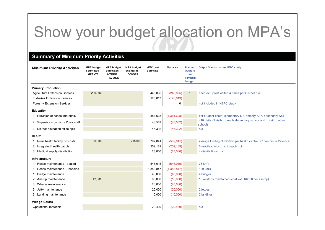## Show your budget allocation on MPA's

### **Summary of Minimum Priority Activities**

| <b>Primary Production</b><br>200,000<br>446,895<br>(246, 895)<br>each ext. point visited 4 times per District p.a.<br><b>Agriculture Extension Services</b><br>126,013<br><b>Fisheries Extension Services</b><br>(126, 013)<br>0<br>not included in NEFC study<br><b>Forestry Extension Services</b><br><b>Education</b><br>1,384,628<br>(1, 384, 628)<br>1. Provision of school materials<br>per student costs; elementary K7, primary K17, secondary K51<br>410 visits (2 visits to each elementary school and 1 visit to other<br>43,582<br>(43,582)<br>2. Supervision by district/prov staff<br>school)<br>3. District education office op's<br>46,392<br>(46, 392)<br>n/a<br>Health<br>50,000<br>215,000<br>797,841<br>(532, 841)<br>1. Rural health facility op costs<br>average funding of K29550 per health centre (27 centres in Province)<br>2. Integrated health patrols<br>252,189<br>(252, 189)<br>6 mobile clinics p.a. to each point<br>28,060<br>3. Medical supply distribution<br>(28,060)<br>4 distributions p.a. |    |
|-------------------------------------------------------------------------------------------------------------------------------------------------------------------------------------------------------------------------------------------------------------------------------------------------------------------------------------------------------------------------------------------------------------------------------------------------------------------------------------------------------------------------------------------------------------------------------------------------------------------------------------------------------------------------------------------------------------------------------------------------------------------------------------------------------------------------------------------------------------------------------------------------------------------------------------------------------------------------------------------------------------------------------------|----|
|                                                                                                                                                                                                                                                                                                                                                                                                                                                                                                                                                                                                                                                                                                                                                                                                                                                                                                                                                                                                                                     |    |
|                                                                                                                                                                                                                                                                                                                                                                                                                                                                                                                                                                                                                                                                                                                                                                                                                                                                                                                                                                                                                                     |    |
|                                                                                                                                                                                                                                                                                                                                                                                                                                                                                                                                                                                                                                                                                                                                                                                                                                                                                                                                                                                                                                     |    |
|                                                                                                                                                                                                                                                                                                                                                                                                                                                                                                                                                                                                                                                                                                                                                                                                                                                                                                                                                                                                                                     |    |
|                                                                                                                                                                                                                                                                                                                                                                                                                                                                                                                                                                                                                                                                                                                                                                                                                                                                                                                                                                                                                                     |    |
|                                                                                                                                                                                                                                                                                                                                                                                                                                                                                                                                                                                                                                                                                                                                                                                                                                                                                                                                                                                                                                     |    |
|                                                                                                                                                                                                                                                                                                                                                                                                                                                                                                                                                                                                                                                                                                                                                                                                                                                                                                                                                                                                                                     |    |
|                                                                                                                                                                                                                                                                                                                                                                                                                                                                                                                                                                                                                                                                                                                                                                                                                                                                                                                                                                                                                                     |    |
|                                                                                                                                                                                                                                                                                                                                                                                                                                                                                                                                                                                                                                                                                                                                                                                                                                                                                                                                                                                                                                     |    |
|                                                                                                                                                                                                                                                                                                                                                                                                                                                                                                                                                                                                                                                                                                                                                                                                                                                                                                                                                                                                                                     |    |
|                                                                                                                                                                                                                                                                                                                                                                                                                                                                                                                                                                                                                                                                                                                                                                                                                                                                                                                                                                                                                                     |    |
|                                                                                                                                                                                                                                                                                                                                                                                                                                                                                                                                                                                                                                                                                                                                                                                                                                                                                                                                                                                                                                     |    |
| Infrastructure                                                                                                                                                                                                                                                                                                                                                                                                                                                                                                                                                                                                                                                                                                                                                                                                                                                                                                                                                                                                                      |    |
| 546,015<br>(546, 015)<br>73 km's<br>1. Roads maintenance - sealed                                                                                                                                                                                                                                                                                                                                                                                                                                                                                                                                                                                                                                                                                                                                                                                                                                                                                                                                                                   |    |
| 1. Roads maintenance - unsealed<br>1,358,847<br>(1,358,847)<br>129 km's                                                                                                                                                                                                                                                                                                                                                                                                                                                                                                                                                                                                                                                                                                                                                                                                                                                                                                                                                             |    |
| 40,000<br>(40,000)<br>1. Bridge maintenance<br>4 bridges                                                                                                                                                                                                                                                                                                                                                                                                                                                                                                                                                                                                                                                                                                                                                                                                                                                                                                                                                                            |    |
| 42,000<br>60,000<br>(18,000)<br>10 airstrips maintained (cost ext. K6000 per airstrip)<br>2. Airstrip maintenance                                                                                                                                                                                                                                                                                                                                                                                                                                                                                                                                                                                                                                                                                                                                                                                                                                                                                                                   |    |
| 20,000<br>3. Wharve maintenance<br>(20,000)                                                                                                                                                                                                                                                                                                                                                                                                                                                                                                                                                                                                                                                                                                                                                                                                                                                                                                                                                                                         | -1 |
| 20,000<br>(20,000)<br>2 jetties<br>3. Jetty maintenance                                                                                                                                                                                                                                                                                                                                                                                                                                                                                                                                                                                                                                                                                                                                                                                                                                                                                                                                                                             |    |
| 10,000<br>(10,000)<br>2 landings<br>3. Landing maintenance                                                                                                                                                                                                                                                                                                                                                                                                                                                                                                                                                                                                                                                                                                                                                                                                                                                                                                                                                                          |    |
| <b>Village Courts</b>                                                                                                                                                                                                                                                                                                                                                                                                                                                                                                                                                                                                                                                                                                                                                                                                                                                                                                                                                                                                               |    |
| Operational materials<br>29,439<br>(29, 439)<br>n/a                                                                                                                                                                                                                                                                                                                                                                                                                                                                                                                                                                                                                                                                                                                                                                                                                                                                                                                                                                                 |    |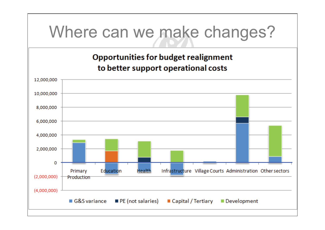